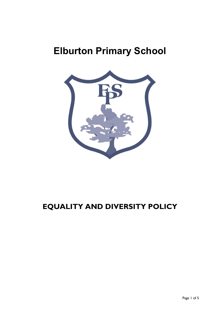# **Elburton Primary School**



# **EQUALITY AND DIVERSITY POLICY**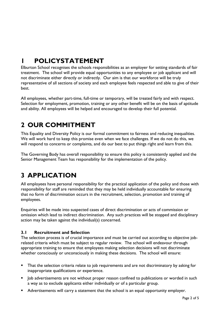# **1 POLICYSTATEMENT**

Elburton School recognises the schools responsibilities as an employer for setting standards of fair treatment. The school will provide equal opportunities to any employee or job applicant and will not discriminate either directly or indirectly. Our aim is that our workforce will be truly representative of all sections of society and each employee feels respected and able to give of their best.

All employees, whether part-time, full-time or temporary, will be treated fairly and with respect. Selection for employment, promotion, training or any other benefit will be on the basis of aptitude and ability. All employees will be helped and encouraged to develop their full potential.

# **2 OUR COMMITMENT**

This Equality and Diversity Policy is our formal commitment to fairness and reducing inequalities. We will work hard to keep this promise even when we face challenges. If we do not do this, we will respond to concerns or complaints, and do our best to put things right and learn from this.

The Governing Body has overall responsibility to ensure this policy is consistently applied and the Senior Management Team has responsibility for the implementation of the policy.

### **3 APPLICATION**

All employees have personal responsibility for the practical application of the policy and those with responsibility for staff are reminded that they may be held individually accountable for ensuring that no form of discrimination occurs in the recruitment, selection, promotion and training of employees.

Enquiries will be made into suspected cases of direct discrimination or acts of commission or omission which lead to indirect discrimination. Any such practices will be stopped and disciplinary action may be taken against the individual(s) concerned.

#### **3.1 Recruitment and Selection**

The selection process is of crucial importance and must be carried out according to objective jobrelated criteria which must be subject to regular review. The school will endeavour through appropriate training to ensure that employees making selection decisions will not discriminate whether consciously or unconsciously in making these decisions. The school will ensure:

- That the selection criteria relate to job requirements and are not discriminatory by asking for inappropriate qualifications or experience.
- Job advertisements are not without proper reason confined to publications or worded in such a way as to exclude applicants either individually or of a particular group.
- **Advertisements will carry a statement that the school is an equal opportunity employer.**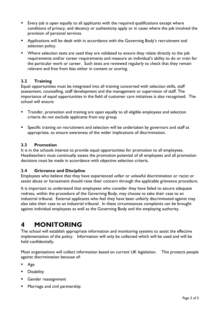- Every job is open equally to all applicants with the required qualifications except where conditions of privacy, and decency or authenticity apply or in cases where the job involved the provision of personal services.
- **Applications will be dealt with in accordance with the Governing Body's recruitment and** selection policy.
- **•** Where selection tests are used they are validated to ensure they relate directly to the job requirements and/or career requirements and measure an individual's ability to do or train for the particular work or career. Such tests are reviewed regularly to check that they remain relevant and free from bias either in content or scoring.

#### **3.2 Training**

Equal opportunities must be integrated into all training concerned with selection skills, staff assessment, counselling, staff development and the management or supervision of staff. The importance of equal opportunities in the field of customer care initiatives is also recognised. The school will ensure:

- **Transfer, promotion and training are open equally to all eligible employees and selection** criteria do not exclude applicants from any group.
- Specific training on recruitment and selection will be undertaken by governors and staff as appropriate, to ensure awareness of the wider implications of discrimination.

#### **3.3 Promotion**

It is in the schools interest to provide equal opportunities for promotion to all employees. Headteachers must continually assess the promotion potential of all employees and all promotion decisions must be made in accordance with objective selection criteria.

#### **3.4 Grievance and Discipline**

Employees who believe that they have experienced unfair or unlawful discrimination or racist or sexist abuse or harassment should raise their concern through the applicable grievance procedure.

It is important to understand that employees who consider they have failed to secure adequate redress, within the procedure of the Governing Body, may choose to take their case to an industrial tribunal. External applicants who feel they have been unfairly discriminated against may also take their case to an industrial tribunal. In these circumstances complaints can be brought against individual employees as well as the Governing Body and the employing authority.

### **4 MONITORING**

The school will establish appropriate information and monitoring systems to assist the effective implementation of the policy. Information will only be collected which will be used and will be held confidentially.

Most organisations will collect information based on current UK legislation. This protects people against discrimination because of:

- Age
- **Disability**
- Gender reassignment
- **Marriage and civil partnership**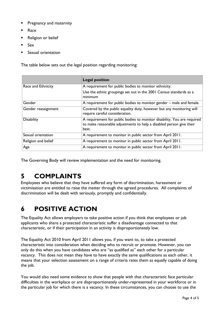- Pregnancy and maternity
- Race
- Religion or belief
- **Sex**
- Sexual orientation

The table below sets out the legal position regarding monitoring:

|                     | <b>Legal position</b>                                                                                                                                   |
|---------------------|---------------------------------------------------------------------------------------------------------------------------------------------------------|
| Race and Ethnicity  | A requirement for public bodies to monitor ethnicity.                                                                                                   |
|                     | Use the ethnic groupings set out in the 2001 Census standards as a<br>minimum                                                                           |
| Gender              | A requirement for public bodies to monitor gender – male and female.                                                                                    |
| Gender reassignment | Covered by the public equality duty, however but any monitoring will<br>require careful consideration.                                                  |
| <b>Disability</b>   | A requirement for public bodies to monitor disability. You are required<br>to make reasonable adjustments to help a disabled person give their<br>best. |
| Sexual orientation  | A requirement to monitor in public sector from April 2011.                                                                                              |
| Religion and belief | A requirement to monitor in public sector from April 2011.                                                                                              |
| Age                 | A requirement to monitor in public sector from April 2011.                                                                                              |

The Governing Body will review implementation and the need for monitoring.

### **5 COMPLAINTS**

Employees who believe that they have suffered any form of discrimination, harassment or victimisation are entitled to raise the matter through the agreed procedures. All complaints of discrimination will be dealt with seriously, promptly and confidentially.

# **6 POSITIVE ACTION**

The Equality Act allows employers to take positive action if you think that employees or job applicants who share a protected characteristic suffer a disadvantage connected to that characteristic, or if their participation in an activity is disproportionately low.

The Equality Act 2010 from April 2011 allows you, if you want to, to take a protected characteristic into consideration when deciding who to recruit or promote. However, you can only do this when you have candidates who are "as qualified as" each other for a particular vacancy. This does not mean they have to have exactly the same qualifications as each other, it means that your selection assessment on a range of criteria rates them as equally capable of doing the job.

You would also need some evidence to show that people with that characteristic face particular difficulties in the workplace or are disproportionately under-represented in your workforce or in the particular job for which there is a vacancy. In these circumstances, you can choose to use the